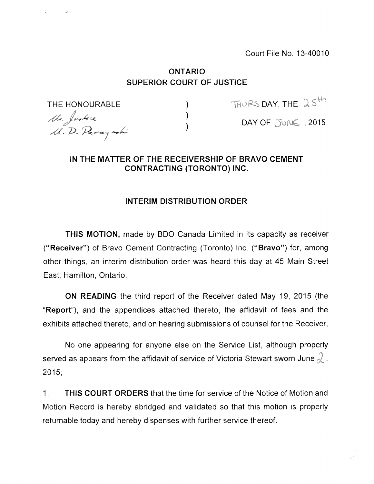Court File No. 13-40010

## ONTARIO SUPERIOR COURT OF JUSTICE

 $\mathcal{L}$ 

Mr. Justice<br>M. D. Parayaohi

THE HONOURABLE  $\qquad \qquad$  ) Trues day, the  $25^{th}$ 

DAY OF JUNE , 2015

## IN THE MATTER OF THE RECEIVERSHIP OF BRAVO CEMENT CONTRACTING (TORONTO) INC.

## INTERIM DISTRIBUTION ORDER

THIS MOTION, made by BDO Canada Limited in its capacity as receiver ("Receiver") of Bravo Cement Contracting (Toronto) Inc. ("Bravo") for, among other things, an interim distribution order was heard this day at 45 Main Street East, Hamilton, Ontario.

ON READING the third report of the Receiver dated May 19, 2015 (the "Report"), and the appendices attached thereto, the affidavit of fees and the exhibits attached thereto, and on hearing submissions of counsel for the Receiver,

No one appearing for anyone else on the Service List, although properly served as appears from the affidavit of service of Victoria Stewart sworn June  $\lambda$ , 2015;

1. THIS COURT ORDERS that the time for service of the Notice of Motion and Motion Record is hereby abridged and validated so that this motion is properly returnable today and hereby dispenses with further service thereof.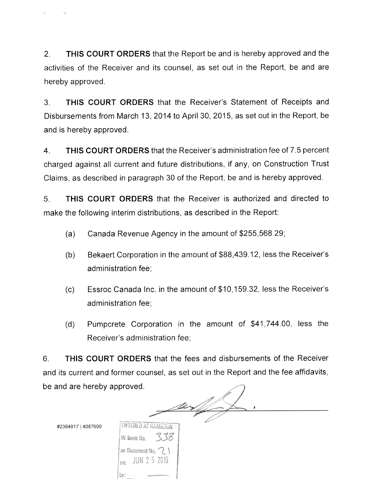2. THIS COURT ORDERS that the Report be and is hereby approved and the activities of the Receiver and its counsel, as set out in the Report, be and are hereby approved.

3. THIS COURT ORDERS that the Receiver's Statement of Receipts and Disbursements from March 13. 2014 to April 30, 2015, as set out in the Report, be and is hereby approved.

4. THIS COURT ORDERS that the Receiver's administration fee of 7.5 percent charged against all current and future distributions, if any, on Construction Trust Claims, as described in paragraph 30 of the Report, be and is hereby approved.

5. THIS COURT ORDERS that the Receiver is authorized and directed to make the following interim distributions, as described in the Report:

- (a) Canada Revenue Agency in the amount of \$255,568.29;
- (b) Bekaert Corporation in the amount of \$88,439.12, less the Receiver's administration fee;
- (c) Essroc Canada Inc. in the amount of \$10,159.32, less the Receiver's administration fee;
- (d) Pumpcrete Corporation in the amount of \$41,744.00, less the Receiver's administration fee;

6. THIS COURT ORDERS that the fees and disbursements of the Receiver and its current and former counsel, as set out in the Report and the fee affidavits, be and are hereby approved.

#2364917 <sup>I</sup> 4087690

bv:

**ENTERED AT HAMILTON** -338 IN Book No. as Document No.  $\{ \}$ JUN 2-5-2015 nn: